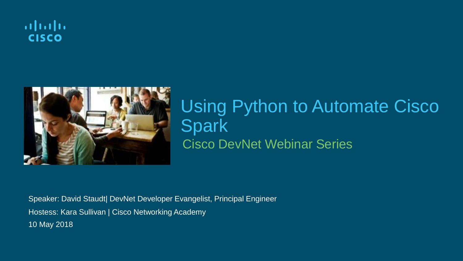



### Cisco DevNet Webinar Series Using Python to Automate Cisco **Spark**

Speaker: David Staudt| DevNet Developer Evangelist, Principal Engineer Hostess: Kara Sullivan | Cisco Networking Academy 10 May 2018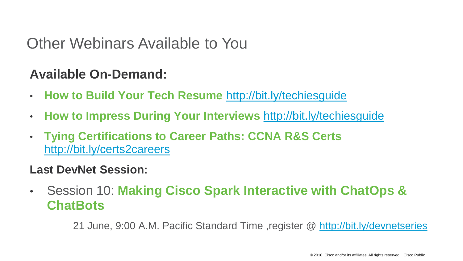#### Other Webinars Available to You

#### **Available On-Demand:**

- **How to Build Your Tech Resume** <http://bit.ly/techiesguide>
- **How to Impress During Your Interviews** <http://bit.ly/techiesguide>
- **Tying Certifications to Career Paths: CCNA R&S Certs**  <http://bit.ly/certs2careers>

#### **Last DevNet Session:**

• Session 10: **Making Cisco Spark Interactive with ChatOps & ChatBots**

21 June, 9:00 A.M. Pacific Standard Time ,register @ <http://bit.ly/devnetseries>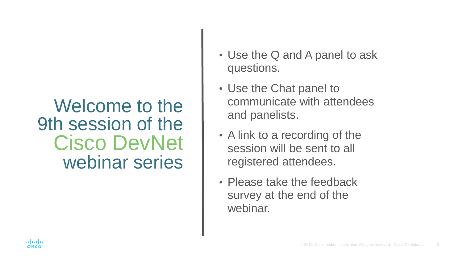### Welcome to the 9th session of the Cisco DevNet webinar series

- Use the Q and A panel to ask questions.
- Use the Chat panel to communicate with attendees and panelists.
- A link to a recording of the session will be sent to all registered attendees.
- Please take the feedback survey at the end of the webinar.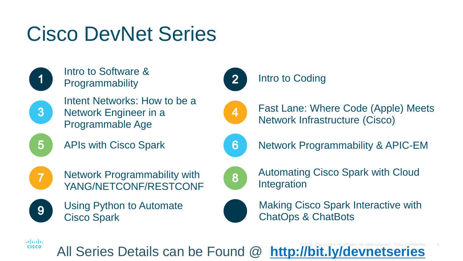# Cisco DevNet Series



Intro to Software & Programmability



Intent Networks: How to be a Network Engineer in a Programmable Age

APIs with Cisco Spark



 $\overline{5}$ 

Network Programmability with YANG/NETCONF/RESTCONF



Using Python to Automate Cisco Spark



#### Intro to Coding



Fast Lane: Where Code (Apple) Meets Network Infrastructure (Cisco)



Network Programmability & APIC-EM



Automating Cisco Spark with Cloud Integration



Making Cisco Spark Interactive with ChatOps & ChatBots

aludu **CISCO** 

All Series Details can be Found @ **<http://bit.ly/devnetseries>**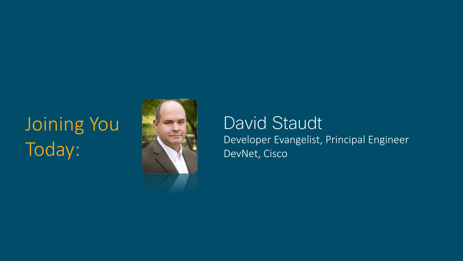## Joining You Today:



David Staudt Developer Evangelist, Principal Engineer DevNet, Cisco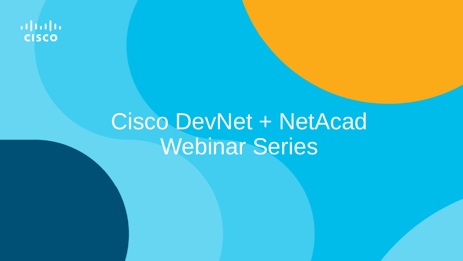ahah. **CISCO** 

# Cisco DevNet + NetAcad Webinar Series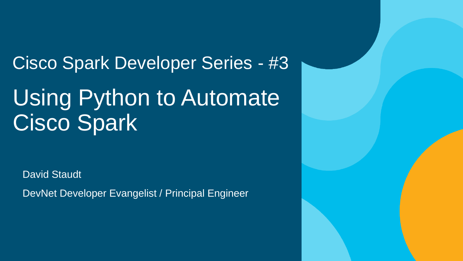Cisco Spark Developer Series - #3 Using Python to Automate Cisco Spark

David Staudt

DevNet Developer Evangelist / Principal Engineer

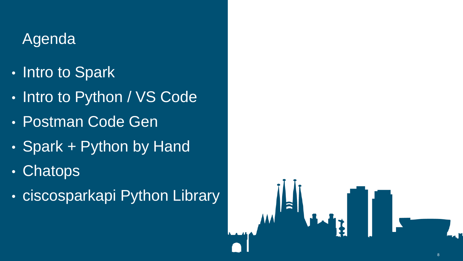### **Agenda**

- Intro to Spark
- Intro to Python / VS Code
- Postman Code Gen
- Spark + Python by Hand
- Chatops
- ciscosparkapi Python Library

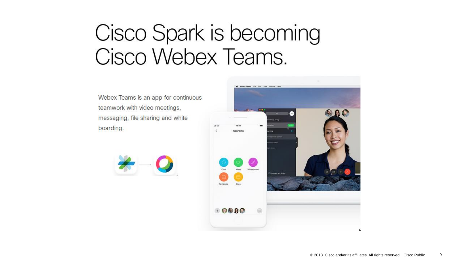# Cisco Spark is becoming Cisco Webex Teams.

Webex Teams is an app for continuous teamwork with video meetings, messaging, file sharing and white boarding.



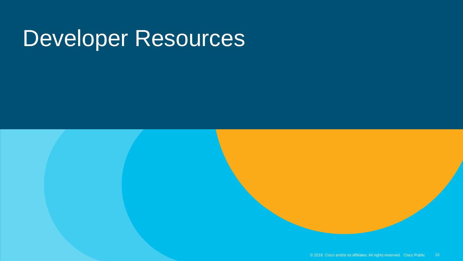# Developer Resources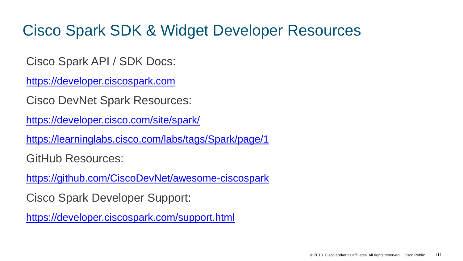### Cisco Spark SDK & Widget Developer Resources

Cisco Spark API / SDK Docs:

[https://developer.ciscospark.com](https://developer.ciscospark.com/)

Cisco DevNet Spark Resources:

<https://developer.cisco.com/site/spark/>

<https://learninglabs.cisco.com/labs/tags/Spark/page/1>

GitHub Resources:

<https://github.com/CiscoDevNet/awesome-ciscospark>

Cisco Spark Developer Support:

<https://developer.ciscospark.com/support.html>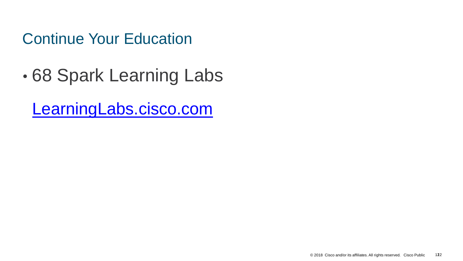Continue Your Education

• 68 Spark Learning Labs

[LearningLabs.cisco.com](https://learninglabs.cisco.com/labs/tags/Spark/page/1)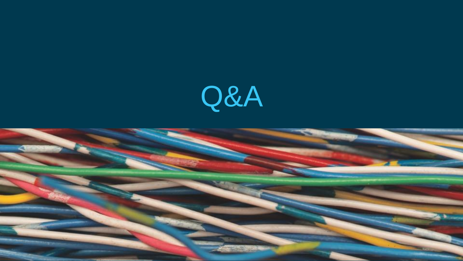

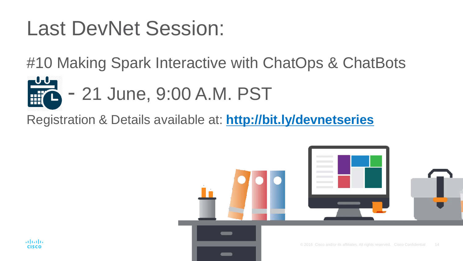## Last DevNet Session:

#10 Making Spark Interactive with ChatOps & ChatBots

• - 21 June, 9:00 A.M. PST

Registration & Details available at: **<http://bit.ly/devnetseries>**

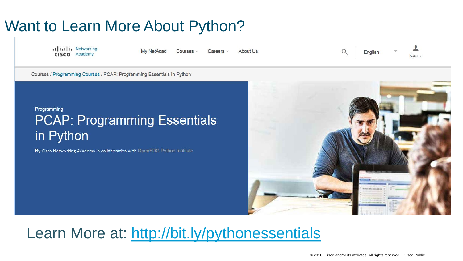### Want to Learn More About Python?

ululu Networking CISCO Academy

My NetAcad Courses Careers

About Us



Courses / Programming Courses / PCAP: Programming Essentials In Python

#### Programming **PCAP: Programming Essentials** in Python

By Cisco Networking Academy in collaboration with OpenEDG Python Institute



### Learn More at:<http://bit.ly/pythonessentials>